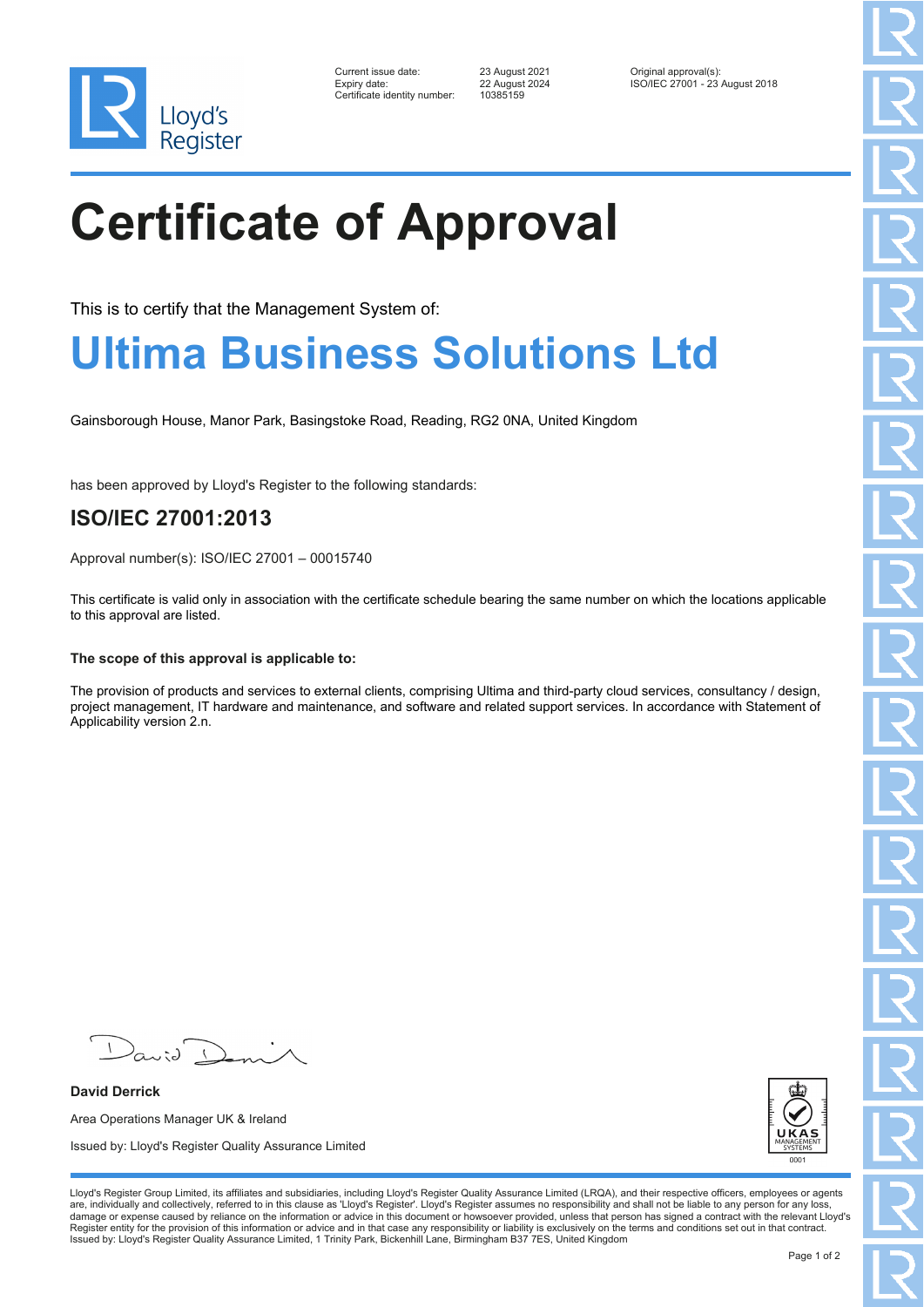

| Current issue date:         |
|-----------------------------|
| Expiry date:                |
| Certificate identity number |

Certificate identity number: 10385159

Current issue date: 23 August 2021 Original approval(s): Expiry date: 22 August 2024 ISO/IEC 27001 - 23 August 2018

# **Certificate of Approval**

This is to certify that the Management System of:

### **Ultima Business Solutions Ltd**

Gainsborough House, Manor Park, Basingstoke Road, Reading, RG2 0NA, United Kingdom

has been approved by Lloyd's Register to the following standards:

### **ISO/IEC 27001:2013**

Approval number(s): ISO/IEC 27001 – 00015740

This certificate is valid only in association with the certificate schedule bearing the same number on which the locations applicable to this approval are listed.

#### **The scope of this approval is applicable to:**

The provision of products and services to external clients, comprising Ultima and third-party cloud services, consultancy / design, project management, IT hardware and maintenance, and software and related support services. In accordance with Statement of Applicability version 2.n.

 $\sqrt{2}$ 

**David Derrick** Area Operations Manager UK & Ireland Issued by: Lloyd's Register Quality Assurance Limited



Lloyd's Register Group Limited, its affiliates and subsidiaries, including Lloyd's Register Quality Assurance Limited (LRQA), and their respective officers, employees or agents are, individually and collectively, referred to in this clause as 'Lloyd's Register'. Lloyd's Register assumes no responsibility and shall not be liable to any person for any loss,<br>damage or expense caused by reliance on t Register entity for the provision of this information or advice and in that case any responsibility or liability is exclusively on the terms and conditions set out in that contract. Issued by: Lloyd's Register Quality Assurance Limited, 1 Trinity Park, Bickenhill Lane, Birmingham B37 7ES, United Kingdom